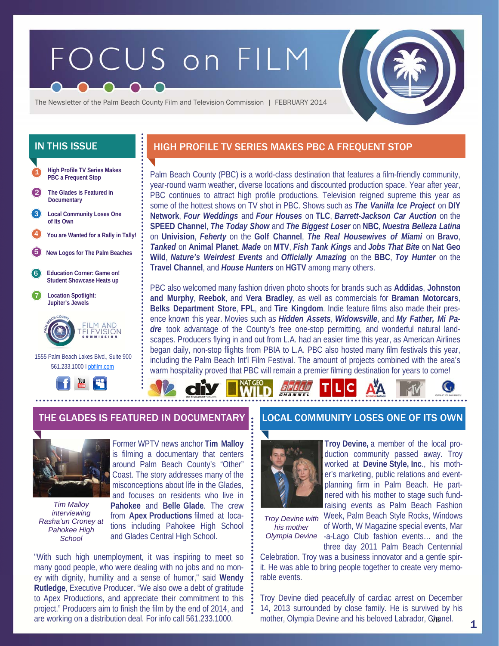# FOCUS on FILM



The Newsletter of the Palm Beach County Film and Television Commission | FEBRUARY 2014



# IN THIS ISSUE **HIGH PROFILE TV SERIES MAKES PBC A FREQUENT STOP**

Palm Beach County (PBC) is a world-class destination that features a film-friendly community, year-round warm weather, diverse locations and discounted production space. Year after year, PBC continues to attract high profile productions. Television reigned supreme this year as some of the hottest shows on TV shot in PBC. Shows such as *The Vanilla Ice Project* on **DIY Network**, *Four Weddings* and *Four Houses* on **TLC**, *Barrett-Jackson Car Auction* on the **SPEED Channel**, *The Today Show* and *The Biggest Loser* on **NBC**, *Nuestra Belleza Latina*  on **Univision**, *Feherty* on the **Golf Channel**, *The Real Housewives of Miami* on **Bravo**, *Tanked* on **Animal Planet**, *Made* on **MTV**, *Fish Tank Kings* and *Jobs That Bite* on **Nat Geo Wild**, *Nature's Weirdest Events* and *Officially Amazing* on the **BBC**, *Toy Hunter* on the **Travel Channel**, and *House Hunters* on **HGTV** among many others.

PBC also welcomed many fashion driven photo shoots for brands such as **Addidas**, **Johnston and Murphy**, **Reebok**, and **Vera Bradley**, as well as commercials for **Braman Motorcars**, **Belks Department Store**, **FPL**, and **Tire Kingdom**. Indie feature films also made their presence known this year. Movies such as *Hidden Assets*, *Widowsville*, and *My Father, Mi Padre* took advantage of the County's free one-stop permitting, and wonderful natural landscapes. Producers flying in and out from L.A. had an easier time this year, as American Airlines began daily, non-stop flights from PBIA to L.A. PBC also hosted many film festivals this year, including the Palm Beach Int'l Film Festival. The amount of projects combined with the area's warm hospitality proved that PBC will remain a premier filming destination for years to come!

# THE GLADES IS FEATURED IN DOCUMENTARY **L. L**OCAL COMMUNITY LOSES ONE OF ITS OWN



*Tim Malloy interviewing Rasha'un Croney at Pahokee High School* 

Former WPTV news anchor **Tim Malloy**  is filming a documentary that centers around Palm Beach County's "Other" Coast. The story addresses many of the misconceptions about life in the Glades, and focuses on residents who live in **Pahokee** and **Belle Glade**. The crew from **Apex Productions** filmed at locations including Pahokee High School and Glades Central High School.

"With such high unemployment, it was inspiring to meet so many good people, who were dealing with no jobs and no money with dignity, humility and a sense of humor," said **Wendy Rutledge**, Executive Producer. "We also owe a debt of gratitude to Apex Productions, and appreciate their commitment to this project." Producers aim to finish the film by the end of 2014, and are working on a distribution deal. For info call 561.233.1000.



**Troy Devine,** a member of the local production community passed away. Troy worked at **Devine Style, Inc**., his mother's marketing, public relations and eventplanning firm in Palm Beach. He partnered with his mother to stage such fundraising events as Palm Beach Fashion Week, Palm Beach Style Rocks, Windows

*Troy Devine with his mother* 

of Worth, W Magazine special events, Mar Olympia Devine -a-Lago Club fashion events... and the three day 2011 Palm Beach Centennial

Celebration. Troy was a business innovator and a gentle spirit. He was able to bring people together to create very memorable events.

Troy Devine died peacefully of cardiac arrest on December 14, 2013 surrounded by close family. He is survived by his mother, Olympia Devine and his beloved Labrador, Ghanel.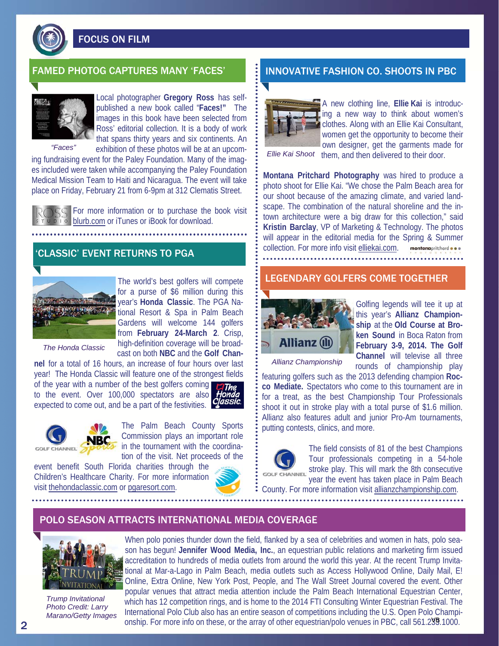

FOCUS ON FILM



Local photographer **Gregory Ross** has selfpublished a new book called "**Faces!"** The images in this book have been selected from Ross' editorial collection. It is a body of work that spans thirty years and six continents. An exhibition of these photos will be at an upcom-

*"Faces"* 

ing fundraising event for the Paley Foundation. Many of the images included were taken while accompanying the Paley Foundation Medical Mission Team to Haiti and Nicaragua. The event will take place on Friday, February 21 from 6-9pm at 312 Clematis Street.

For more information or to purchase the book visit blurb.com or iTunes or iBook for download.

# 'CLASSIC' EVENT RETURNS TO PGA



The world's best golfers will compete for a purse of \$6 million during this year's **Honda Classic**. The PGA National Resort & Spa in Palm Beach Gardens will welcome 144 golfers from **February 24-March 2**. Crisp, high-definition coverage will be broadcast on both **NBC** and the **Golf Chan-**

*The Honda Classic* 

**nel** for a total of 16 hours, an increase of four hours over last year! The Honda Classic will feature one of the strongest fields

of the year with a number of the best golfers coming to the event. Over 100,000 spectators are also expected to come out, and be a part of the festivities. **Classic.** 



The Palm Beach County Sports Commission plays an important role in the tournament with the coordination of the visit. Net proceeds of the

event benefit South Florida charities through the Children's Healthcare Charity. For more information visit thehondaclassic.com or pgaresort.com.



# FAMED PHOTOG CAPTURES MANY 'FACES' **In the UNIVELATIVE FASHION CO. SHOOTS IN PBC**



A new clothing line, **Ellie Kai** is introducing a new way to think about women's clothes. Along with an Ellie Kai Consultant, women get the opportunity to become their own designer, get the garments made for

Ellie Kai Shoot them, and then delivered to their door.

**Montana Pritchard Photography** was hired to produce a photo shoot for Ellie Kai. "We chose the Palm Beach area for our shoot because of the amazing climate, and varied landscape. The combination of the natural shoreline and the intown architecture were a big draw for this collection," said **Kristin Barclay**, VP of Marketing & Technology. The photos will appear in the editorial media for the Spring & Summer collection. For more info visit elliekai.com. montanapritchard . . .

# LEGENDARY GOLFERS COME TOGETHER



Golfing legends will tee it up at this year's **Allianz Championship** at the **Old Course at Broken Sound** in Boca Raton from **February 3-9, 2014. The Golf Channel** will televise all three rounds of championship play

*Allianz Championship* 

featuring golfers such as the 2013 defending champion **Rocco Mediate.** Spectators who come to this tournament are in for a treat, as the best Championship Tour Professionals shoot it out in stroke play with a total purse of \$1.6 million. Allianz also features adult and junior Pro-Am tournaments, putting contests, clinics, and more.



The field consists of 81 of the best Champions Tour professionals competing in a 54-hole stroke play. This will mark the 8th consecutive year the event has taken place in Palm Beach

County. For more information visit allianzchampionship.com.

## POLO SEASON ATTRACTS INTERNATIONAL MEDIA COVERAGE



*Trump Invitational Photo Credit: Larry Marano/Getty Images* 

When polo ponies thunder down the field, flanked by a sea of celebrities and women in hats, polo season has begun! **Jennifer Wood Media, Inc.**, an equestrian public relations and marketing firm issued accreditation to hundreds of media outlets from around the world this year. At the recent Trump Invitational at Mar-a-Lago in Palm Beach, media outlets such as Access Hollywood Online, Daily Mail, E! Online, Extra Online, New York Post, People, and The Wall Street Journal covered the event. Other popular venues that attract media attention include the Palm Beach International Equestrian Center, which has 12 competition rings, and is home to the 2014 FTI Consulting Winter Equestrian Festival. The International Polo Club also has an entire season of competitions including the U.S. Open Polo Championship. For more info on these, or the array of other equestrian/polo venues in PBC, call 561.299.1000.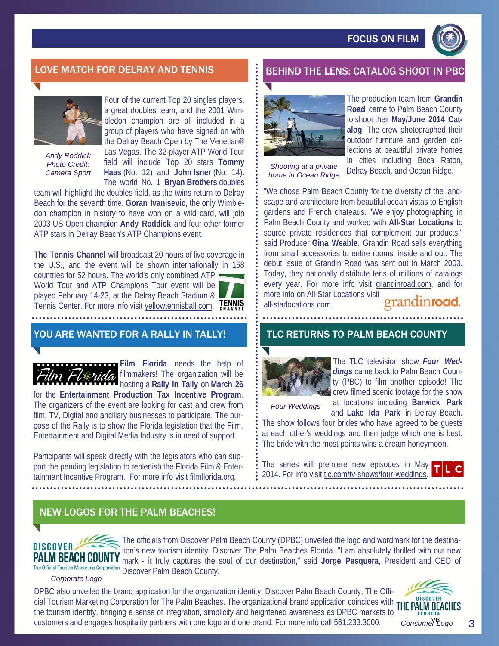FOCUS ON FILM



# LOVE MATCH FOR DELRAY AND TENNIS **BEHIND THE LENS: CATALOG SHOOT IN P**



*Andy Roddick Photo Credit:* 

Four of the current Top 20 singles players, a great doubles team, and the 2001 Wimbledon champion are all included in a group of players who have signed on with the Delray Beach Open by The Venetian® Las Vegas. The 32-player ATP World Tour field will include Top 20 stars **Tommy Habitary Change is the U.S. Contract Construct Camera Sport and Shooting at a private Camera Sport Haas (No. 12) and <b>John Isner** (No. 14).  $\cdot$  *Come in Ocean Ridge* The world No. 1 **Bryan Brothers** doubles

team will highlight the doubles field, as the twins return to Delray Beach for the seventh time. **Goran Ivanisevic**, the only Wimbledon champion in history to have won on a wild card, will join 2003 US Open champion **Andy Roddick** and four other former ATP stars in Delray Beach's ATP Champions event.

**The Tennis Channel** will broadcast 20 hours of live coverage in the U.S., and the event will be shown internationally in 158 countries for 52 hours. The world's only combined ATP World Tour and ATP Champions Tour event will be played February 14-23, at the Delray Beach Stadium & **TENNIS** Tennis Center. For more info visit yellowtennisball.com.

# YOU ARE WANTED FOR A RALLY IN TALLY!

**Film Florida** needs the help of filmmakers! The organization will be hosting a **Rally in Tally** on **March 26**  for the **Entertainment Production Tax Incentive Program**. The organizers of the event are looking for cast and crew from film, TV, Digital and ancillary businesses to participate. The purpose of the Rally is to show the Florida legislation that the Film, Entertainment and Digital Media Industry is in need of support.

Participants will speak directly with the legislators who can support the pending legislation to replenish the Florida Film & Entertainment Incentive Program. For more info visit filmflorida.org.



The production team from **Grandin Road** came to Palm Beach County to shoot their **May/June 2014 Catalog**! The crew photographed their outdoor furniture and garden collections at beautiful private homes in cities including Boca Raton, Delray Beach, and Ocean Ridge.

*home in Ocean Ridge* 

"We chose Palm Beach County for the diversity of the landscape and architecture from beautiful ocean vistas to English gardens and French chateaus. "We enjoy photographing in Palm Beach County and worked with **All-Star Locations** to source private residences that complement our products," said Producer **Gina Weable.** Grandin Road sells everything from small accessories to entire rooms, inside and out. The debut issue of Grandin Road was sent out in March 2003. Today, they nationally distribute tens of millions of catalogs every year. For more info visit grandinroad.com, and for more info on All-Star Locations visit

all-starlocations.com.

grandinroad

# TLC RETURNS TO PALM BEACH COUNTY



The TLC television show *Four Weddings* came back to Palm Beach County (PBC) to film another episode! The crew filmed scenic footage for the show

*Four Weddings* 

at locations including **Barwick Park**  and **Lake Ida Park** in Delray Beach.

The show follows four brides who have agreed to be guests at each other's weddings and then judge which one is best. The bride with the most points wins a dream honeymoon.

The series will premiere new episodes in May 2014. For info visit tlc.com/tv-shows/four-weddings.

# NEW LOGOS FOR THE PALM BEACHES!



The officials from Discover Palm Beach County (DPBC) unveiled the logo and wordmark for the destination's new tourism identity, Discover The Palm Beaches Florida. "I am absolutely thrilled with our new mark - it truly captures the soul of our destination," said **Jorge Pesquera**, President and CEO of The Official Tourism Marketing Corporation Discover Palm Beach County.

*Corporate Logo* 

DPBC also unveiled the brand application for the organization identity, Discover Palm Beach County, The Official Tourism Marketing Corporation for The Palm Beaches. The organizational brand application coincides with THE PALM BEACHES the tourism identity, bringing a sense of integration, simplicity and heightened awareness as DPBC markets to customers and engages hospitality partners with one logo and one brand. For more info call 561.233.3000.



3